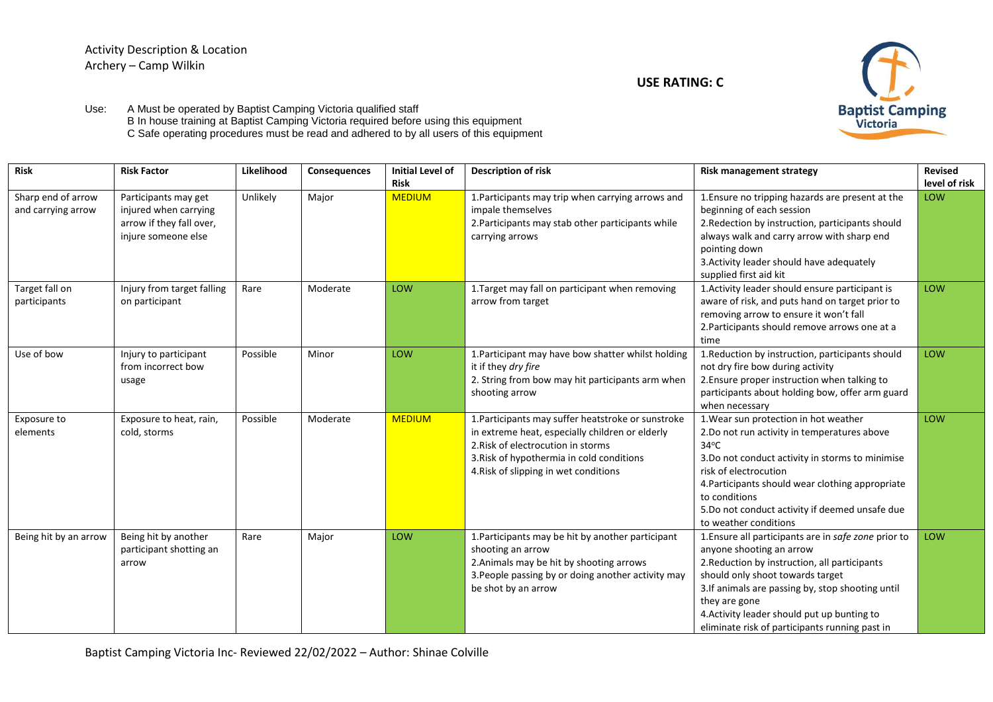## Activity Description & Location Archery – Camp Wilkin

**USE RATING: C**



Use: A Must be operated by Baptist Camping Victoria qualified staff B In house training at Baptist Camping Victoria required before using this equipment C Safe operating procedures must be read and adhered to by all users of this equipment

| <b>Risk</b>                              | <b>Risk Factor</b>                                                                               | Likelihood | Consequences | Initial Level of<br><b>Risk</b> | <b>Description of risk</b>                                                                                                                                                                                                        | <b>Risk management strategy</b>                                                                                                                                                                                                                                                                                                              | <b>Revised</b><br>level of risk |
|------------------------------------------|--------------------------------------------------------------------------------------------------|------------|--------------|---------------------------------|-----------------------------------------------------------------------------------------------------------------------------------------------------------------------------------------------------------------------------------|----------------------------------------------------------------------------------------------------------------------------------------------------------------------------------------------------------------------------------------------------------------------------------------------------------------------------------------------|---------------------------------|
| Sharp end of arrow<br>and carrying arrow | Participants may get<br>injured when carrying<br>arrow if they fall over,<br>injure someone else | Unlikely   | Major        | <b>MEDIUM</b>                   | 1. Participants may trip when carrying arrows and<br>impale themselves<br>2. Participants may stab other participants while<br>carrying arrows                                                                                    | 1. Ensure no tripping hazards are present at the<br>beginning of each session<br>2. Redection by instruction, participants should<br>always walk and carry arrow with sharp end<br>pointing down<br>3. Activity leader should have adequately<br>supplied first aid kit                                                                      | LOW                             |
| Target fall on<br>participants           | Injury from target falling<br>on participant                                                     | Rare       | Moderate     | <b>LOW</b>                      | 1. Target may fall on participant when removing<br>arrow from target                                                                                                                                                              | 1. Activity leader should ensure participant is<br>aware of risk, and puts hand on target prior to<br>removing arrow to ensure it won't fall<br>2. Participants should remove arrows one at a<br>time                                                                                                                                        | <b>LOW</b>                      |
| Use of bow                               | Injury to participant<br>from incorrect bow<br>usage                                             | Possible   | Minor        | LOW                             | 1. Participant may have bow shatter whilst holding<br>it if they dry fire<br>2. String from bow may hit participants arm when<br>shooting arrow                                                                                   | 1. Reduction by instruction, participants should<br>not dry fire bow during activity<br>2. Ensure proper instruction when talking to<br>participants about holding bow, offer arm guard<br>when necessary                                                                                                                                    | <b>LOW</b>                      |
| Exposure to<br>elements                  | Exposure to heat, rain,<br>cold, storms                                                          | Possible   | Moderate     | <b>MEDIUM</b>                   | 1. Participants may suffer heatstroke or sunstroke<br>in extreme heat, especially children or elderly<br>2. Risk of electrocution in storms<br>3. Risk of hypothermia in cold conditions<br>4. Risk of slipping in wet conditions | 1. Wear sun protection in hot weather<br>2. Do not run activity in temperatures above<br>$34^{\circ}$ C<br>3. Do not conduct activity in storms to minimise<br>risk of electrocution<br>4. Participants should wear clothing appropriate<br>to conditions<br>5.Do not conduct activity if deemed unsafe due<br>to weather conditions         | <b>LOW</b>                      |
| Being hit by an arrow                    | Being hit by another<br>participant shotting an<br>arrow                                         | Rare       | Major        | LOW                             | 1. Participants may be hit by another participant<br>shooting an arrow<br>2. Animals may be hit by shooting arrows<br>3. People passing by or doing another activity may<br>be shot by an arrow                                   | 1. Ensure all participants are in safe zone prior to<br>anyone shooting an arrow<br>2. Reduction by instruction, all participants<br>should only shoot towards target<br>3. If animals are passing by, stop shooting until<br>they are gone<br>4. Activity leader should put up bunting to<br>eliminate risk of participants running past in | LOW                             |